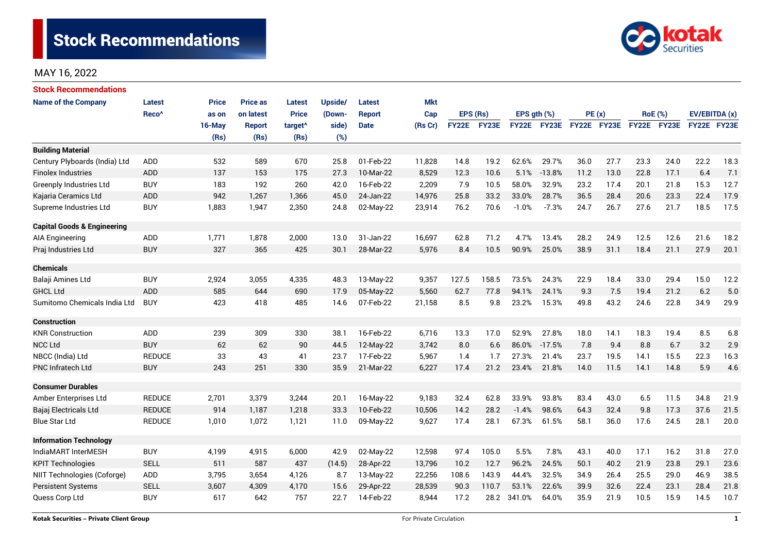

| <b>Stock Recommendations</b>           |                   |              |                 |                     |         |               |            |              |       |                  |             |             |      |                |      |               |      |
|----------------------------------------|-------------------|--------------|-----------------|---------------------|---------|---------------|------------|--------------|-------|------------------|-------------|-------------|------|----------------|------|---------------|------|
| <b>Name of the Company</b>             | Latest            | <b>Price</b> | <b>Price as</b> | <b>Latest</b>       | Upside/ | <b>Latest</b> | <b>Mkt</b> |              |       |                  |             |             |      |                |      |               |      |
|                                        | Reco <sup>^</sup> | as on        | on latest       | <b>Price</b>        | (Down-  | <b>Report</b> | Cap        | EPS (Rs)     |       | EPS $qth$ $(\%)$ |             | PE(x)       |      | <b>RoE</b> (%) |      | EV/EBITDA (x) |      |
|                                        |                   | $16$ -May    | <b>Report</b>   | target <sup>^</sup> | side)   | <b>Date</b>   | (Rs Cr)    | <b>FY22E</b> | FY23E |                  | FY22E FY23E | FY22E FY23E |      | FY22E FY23E    |      | FY22E FY23E   |      |
|                                        |                   | (Rs)         | (Rs)            | (Rs)                | (%)     |               |            |              |       |                  |             |             |      |                |      |               |      |
| <b>Building Material</b>               |                   |              |                 |                     |         |               |            |              |       |                  |             |             |      |                |      |               |      |
| Century Plyboards (India) Ltd          | <b>ADD</b>        | 532          | 589             | 670                 | 25.8    | 01-Feb-22     | 11,828     | 14.8         | 19.2  | 62.6%            | 29.7%       | 36.0        | 27.7 | 23.3           | 24.0 | 22.2          | 18.3 |
| <b>Finolex Industries</b>              | ADD               | 137          | 153             | 175                 | 27.3    | 10-Mar-22     | 8,529      | 12.3         | 10.6  | 5.1%             | $-13.8%$    | 11.2        | 13.0 | 22.8           | 17.1 | 6.4           | 7.1  |
| <b>Greenply Industries Ltd</b>         | <b>BUY</b>        | 183          | 192             | 260                 | 42.0    | 16-Feb-22     | 2,209      | 7.9          | 10.5  | 58.0%            | 32.9%       | 23.2        | 17.4 | 20.1           | 21.8 | 15.3          | 12.7 |
| Kajaria Ceramics Ltd                   | <b>ADD</b>        | 942          | 1,267           | 1,366               | 45.0    | 24-Jan-22     | 14,976     | 25.8         | 33.2  | 33.0%            | 28.7%       | 36.5        | 28.4 | 20.6           | 23.3 | 22.4          | 17.9 |
| Supreme Industries Ltd                 | <b>BUY</b>        | 1,883        | 1,947           | 2,350               | 24.8    | 02-May-22     | 23,914     | 76.2         | 70.6  | $-1.0%$          | $-7.3%$     | 24.7        | 26.7 | 27.6           | 21.7 | 18.5          | 17.5 |
| <b>Capital Goods &amp; Engineering</b> |                   |              |                 |                     |         |               |            |              |       |                  |             |             |      |                |      |               |      |
| AIA Engineering                        | <b>ADD</b>        | 1,771        | 1,878           | 2,000               | 13.0    | 31-Jan-22     | 16,697     | 62.8         | 71.2  | 4.7%             | 13.4%       | 28.2        | 24.9 | 12.5           | 12.6 | 21.6          | 18.2 |
| Praj Industries Ltd                    | <b>BUY</b>        | 327          | 365             | 425                 | 30.1    | 28-Mar-22     | 5,976      | 8.4          | 10.5  | 90.9%            | 25.0%       | 38.9        | 31.1 | 18.4           | 21.1 | 27.9          | 20.1 |
| <b>Chemicals</b>                       |                   |              |                 |                     |         |               |            |              |       |                  |             |             |      |                |      |               |      |
| Balaji Amines Ltd                      | <b>BUY</b>        | 2,924        | 3,055           | 4,335               | 48.3    | 13-May-22     | 9,357      | 127.5        | 158.5 | 73.5%            | 24.3%       | 22.9        | 18.4 | 33.0           | 29.4 | 15.0          | 12.2 |
| <b>GHCL Ltd</b>                        | <b>ADD</b>        | 585          | 644             | 690                 | 17.9    | 05-May-22     | 5,560      | 62.7         | 77.8  | 94.1%            | 24.1%       | 9.3         | 7.5  | 19.4           | 21.2 | 6.2           | 5.0  |
| Sumitomo Chemicals India Ltd           | <b>BUY</b>        | 423          | 418             | 485                 | 14.6    | 07-Feb-22     | 21,158     | 8.5          | 9.8   | 23.2%            | 15.3%       | 49.8        | 43.2 | 24.6           | 22.8 | 34.9          | 29.9 |
| <b>Construction</b>                    |                   |              |                 |                     |         |               |            |              |       |                  |             |             |      |                |      |               |      |
| <b>KNR Construction</b>                | ADD               | 239          | 309             | 330                 | 38.1    | 16-Feb-22     | 6,716      | 13.3         | 17.0  | 52.9%            | 27.8%       | 18.0        | 14.1 | 18.3           | 19.4 | 8.5           | 6.8  |
| <b>NCC Ltd</b>                         | <b>BUY</b>        | 62           | 62              | 90                  | 44.5    | 12-May-22     | 3,742      | 8.0          | 6.6   | 86.0%            | $-17.5%$    | 7.8         | 9.4  | 8.8            | 6.7  | 3.2           | 2.9  |
| NBCC (India) Ltd                       | <b>REDUCE</b>     | 33           | 43              | 41                  | 23.7    | 17-Feb-22     | 5,967      | 1.4          | 1.7   | 27.3%            | 21.4%       | 23.7        | 19.5 | 14.1           | 15.5 | 22.3          | 16.3 |
| <b>PNC Infratech Ltd</b>               | <b>BUY</b>        | 243          | 251             | 330                 | 35.9    | 21-Mar-22     | 6,227      | 17.4         | 21.2  | 23.4%            | 21.8%       | 14.0        | 11.5 | 14.1           | 14.8 | 5.9           | 4.6  |
| <b>Consumer Durables</b>               |                   |              |                 |                     |         |               |            |              |       |                  |             |             |      |                |      |               |      |
| Amber Enterprises Ltd                  | <b>REDUCE</b>     | 2,701        | 3,379           | 3,244               | 20.1    | 16-May-22     | 9,183      | 32.4         | 62.8  | 33.9%            | 93.8%       | 83.4        | 43.0 | 6.5            | 11.5 | 34.8          | 21.9 |
| Bajaj Electricals Ltd                  | <b>REDUCE</b>     | 914          | 1,187           | 1,218               | 33.3    | 10-Feb-22     | 10,506     | 14.2         | 28.2  | $-1.4%$          | 98.6%       | 64.3        | 32.4 | 9.8            | 17.3 | 37.6          | 21.5 |
| <b>Blue Star Ltd</b>                   | <b>REDUCE</b>     | 1,010        | 1,072           | 1,121               | 11.0    | 09-May-22     | 9,627      | 17.4         | 28.1  | 67.3%            | 61.5%       | 58.1        | 36.0 | 17.6           | 24.5 | 28.1          | 20.0 |
| <b>Information Technology</b>          |                   |              |                 |                     |         |               |            |              |       |                  |             |             |      |                |      |               |      |
| IndiaMART InterMESH                    | <b>BUY</b>        | 4,199        | 4,915           | 6,000               | 42.9    | 02-May-22     | 12,598     | 97.4         | 105.0 | 5.5%             | 7.8%        | 43.1        | 40.0 | 17.1           | 16.2 | 31.8          | 27.0 |
| <b>KPIT Technologies</b>               | <b>SELL</b>       | 511          | 587             | 437                 | (14.5)  | 28-Apr-22     | 13,796     | 10.2         | 12.7  | 96.2%            | 24.5%       | 50.1        | 40.2 | 21.9           | 23.8 | 29.1          | 23.6 |
| NIIT Technologies (Coforge)            | <b>ADD</b>        | 3,795        | 3,654           | 4,126               | 8.7     | 13-May-22     | 22,256     | 108.6        | 143.9 | 44.4%            | 32.5%       | 34.9        | 26.4 | 25.5           | 29.0 | 46.9          | 38.5 |
| Persistent Systems                     | <b>SELL</b>       | 3,607        | 4,309           | 4,170               | 15.6    | 29-Apr-22     | 28,539     | 90.3         | 110.7 | 53.1%            | 22.6%       | 39.9        | 32.6 | 22.4           | 23.1 | 28.4          | 21.8 |
| Quess Corp Ltd                         | <b>BUY</b>        | 617          | 642             | 757                 | 22.7    | 14-Feb-22     | 8,944      | 17.2         | 28.2  | 341.0%           | 64.0%       | 35.9        | 21.9 | 10.5           | 15.9 | 14.5          | 10.7 |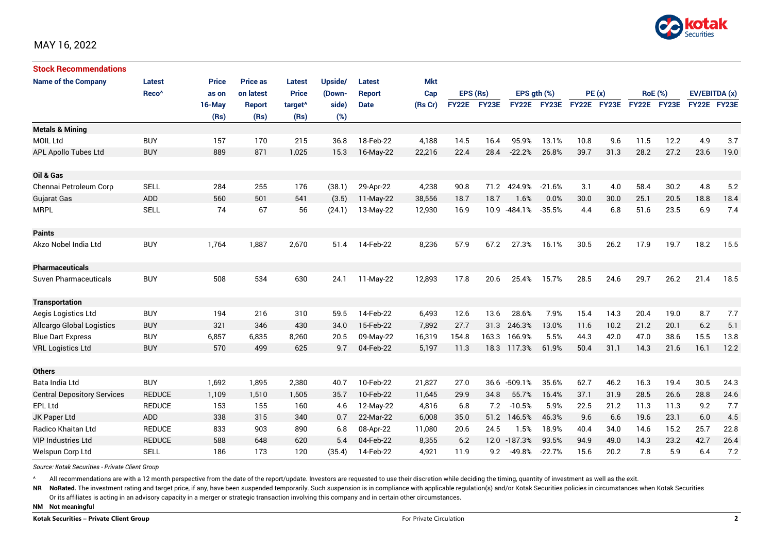

| <b>Stock Recommendations</b>       |                   |              |                 |                     |         |               |            |              |                   |                  |             |             |      |                |      |               |      |
|------------------------------------|-------------------|--------------|-----------------|---------------------|---------|---------------|------------|--------------|-------------------|------------------|-------------|-------------|------|----------------|------|---------------|------|
| <b>Name of the Company</b>         | Latest            | <b>Price</b> | <b>Price as</b> | <b>Latest</b>       | Upside/ | <b>Latest</b> | <b>Mkt</b> |              |                   |                  |             |             |      |                |      |               |      |
|                                    | Reco <sup>^</sup> | as on        | on latest       | <b>Price</b>        | (Down-  | <b>Report</b> | Cap        | EPS (Rs)     |                   | EPS $gth$ $(\%)$ |             | PE(x)       |      | <b>RoE</b> (%) |      | EV/EBITDA (x) |      |
|                                    |                   | 16-May       | <b>Report</b>   | target <sup>^</sup> | side)   | <b>Date</b>   | (Rs Cr)    | <b>FY22E</b> | FY <sub>23E</sub> |                  | FY22E FY23E | FY22E FY23E |      | FY22E FY23E    |      | FY22E FY23E   |      |
|                                    |                   | (Rs)         | (Rs)            | (Rs)                | (%)     |               |            |              |                   |                  |             |             |      |                |      |               |      |
| <b>Metals &amp; Mining</b>         |                   |              |                 |                     |         |               |            |              |                   |                  |             |             |      |                |      |               |      |
| <b>MOIL Ltd</b>                    | <b>BUY</b>        | 157          | 170             | 215                 | 36.8    | 18-Feb-22     | 4,188      | 14.5         | 16.4              | 95.9%            | 13.1%       | 10.8        | 9.6  | 11.5           | 12.2 | 4.9           | 3.7  |
| APL Apollo Tubes Ltd               | <b>BUY</b>        | 889          | 871             | 1,025               | 15.3    | 16-May-22     | 22,216     | 22.4         | 28.4              | $-22.2%$         | 26.8%       | 39.7        | 31.3 | 28.2           | 27.2 | 23.6          | 19.0 |
|                                    |                   |              |                 |                     |         |               |            |              |                   |                  |             |             |      |                |      |               |      |
| Oil & Gas                          |                   |              |                 |                     |         |               |            |              |                   |                  |             |             |      |                |      |               |      |
| Chennai Petroleum Corp             | <b>SELL</b>       | 284          | 255             | 176                 | (38.1)  | 29-Apr-22     | 4,238      | 90.8         | 71.2              | 424.9%           | $-21.6%$    | 3.1         | 4.0  | 58.4           | 30.2 | 4.8           | 5.2  |
| <b>Gujarat Gas</b>                 | ADD               | 560          | 501             | 541                 | (3.5)   | $11-May-22$   | 38,556     | 18.7         | 18.7              | 1.6%             | 0.0%        | 30.0        | 30.0 | 25.1           | 20.5 | 18.8          | 18.4 |
| <b>MRPL</b>                        | <b>SELL</b>       | 74           | 67              | 56                  | (24.1)  | 13-May-22     | 12,930     | 16.9         | 10.9              | $-484.1%$        | $-35.5%$    | 4.4         | 6.8  | 51.6           | 23.5 | 6.9           | 7.4  |
|                                    |                   |              |                 |                     |         |               |            |              |                   |                  |             |             |      |                |      |               |      |
| <b>Paints</b>                      |                   |              |                 |                     |         |               |            |              |                   |                  |             |             |      |                |      |               |      |
| Akzo Nobel India Ltd               | <b>BUY</b>        | 1,764        | 1,887           | 2,670               | 51.4    | 14-Feb-22     | 8,236      | 57.9         | 67.2              | 27.3%            | 16.1%       | 30.5        | 26.2 | 17.9           | 19.7 | 18.2          | 15.5 |
|                                    |                   |              |                 |                     |         |               |            |              |                   |                  |             |             |      |                |      |               |      |
| <b>Pharmaceuticals</b>             |                   |              |                 |                     |         |               |            |              |                   |                  |             |             |      |                |      |               |      |
| Suven Pharmaceuticals              | <b>BUY</b>        | 508          | 534             | 630                 | 24.1    | 11-May-22     | 12,893     | 17.8         | 20.6              | 25.4%            | 15.7%       | 28.5        | 24.6 | 29.7           | 26.2 | 21.4          | 18.5 |
|                                    |                   |              |                 |                     |         |               |            |              |                   |                  |             |             |      |                |      |               |      |
| <b>Transportation</b>              |                   |              |                 |                     |         |               |            |              |                   |                  |             |             |      |                |      |               |      |
| Aegis Logistics Ltd                | <b>BUY</b>        | 194          | 216             | 310                 | 59.5    | 14-Feb-22     | 6,493      | 12.6         | 13.6              | 28.6%            | 7.9%        | 15.4        | 14.3 | 20.4           | 19.0 | 8.7           | 7.7  |
| <b>Allcargo Global Logistics</b>   | <b>BUY</b>        | 321          | 346             | 430                 | 34.0    | 15-Feb-22     | 7,892      | 27.7         | 31.3              | 246.3%           | 13.0%       | 11.6        | 10.2 | 21.2           | 20.1 | 6.2           | 5.1  |
| <b>Blue Dart Express</b>           | <b>BUY</b>        | 6,857        | 6,835           | 8,260               | 20.5    | 09-May-22     | 16,319     | 154.8        | 163.3             | 166.9%           | 5.5%        | 44.3        | 42.0 | 47.0           | 38.6 | 15.5          | 13.8 |
| <b>VRL Logistics Ltd</b>           | <b>BUY</b>        | 570          | 499             | 625                 | 9.7     | 04-Feb-22     | 5,197      | 11.3         | 18.3              | 117.3%           | 61.9%       | 50.4        | 31.1 | 14.3           | 21.6 | 16.1          | 12.2 |
|                                    |                   |              |                 |                     |         |               |            |              |                   |                  |             |             |      |                |      |               |      |
| <b>Others</b>                      |                   |              |                 |                     |         |               |            |              |                   |                  |             |             |      |                |      |               |      |
| Bata India Ltd                     | <b>BUY</b>        | 1,692        | 1,895           | 2,380               | 40.7    | 10-Feb-22     | 21,827     | 27.0         | 36.6              | $-509.1%$        | 35.6%       | 62.7        | 46.2 | 16.3           | 19.4 | 30.5          | 24.3 |
| <b>Central Depository Services</b> | <b>REDUCE</b>     | 1,109        | 1,510           | 1,505               | 35.7    | 10-Feb-22     | 11,645     | 29.9         | 34.8              | 55.7%            | 16.4%       | 37.1        | 31.9 | 28.5           | 26.6 | 28.8          | 24.6 |
| <b>EPL Ltd</b>                     | <b>REDUCE</b>     | 153          | 155             | 160                 | 4.6     | 12-May-22     | 4,816      | 6.8          | 7.2               | $-10.5%$         | 5.9%        | 22.5        | 21.2 | 11.3           | 11.3 | 9.2           | 7.7  |
| JK Paper Ltd                       | ADD               | 338          | 315             | 340                 | 0.7     | 22-Mar-22     | 6,008      | 35.0         |                   | 51.2 146.5%      | 46.3%       | 9.6         | 6.6  | 19.6           | 23.1 | 6.0           | 4.5  |
| Radico Khaitan Ltd                 | <b>REDUCE</b>     | 833          | 903             | 890                 | 6.8     | 08-Apr-22     | 11,080     | 20.6         | 24.5              | 1.5%             | 18.9%       | 40.4        | 34.0 | 14.6           | 15.2 | 25.7          | 22.8 |
| <b>VIP Industries Ltd</b>          | <b>REDUCE</b>     | 588          | 648             | 620                 | 5.4     | 04-Feb-22     | 8,355      | 6.2          |                   | 12.0 -187.3%     | 93.5%       | 94.9        | 49.0 | 14.3           | 23.2 | 42.7          | 26.4 |
| Welspun Corp Ltd                   | <b>SELL</b>       | 186          | 173             | 120                 | (35.4)  | 14-Feb-22     | 4,921      | 11.9         | 9.2               | -49.8%           | $-22.7%$    | 15.6        | 20.2 | 7.8            | 5.9  | 6.4           | 7.2  |

*Source: Kotak Securities - Private Client Group*

All recommendations are with a 12 month perspective from the date of the report/update. Investors are requested to use their discretion while deciding the timing, quantity of investment as well as the exit.

NR NoRated. The investment rating and target price, if any, have been suspended temporarily. Such suspension is in compliance with applicable regulation(s) and/or Kotak Securities policies in circumstances when Kotak Secur

Or its affiliates is acting in an advisory capacity in a merger or strategic transaction involving this company and in certain other circumstances.

**NM Not meaningful**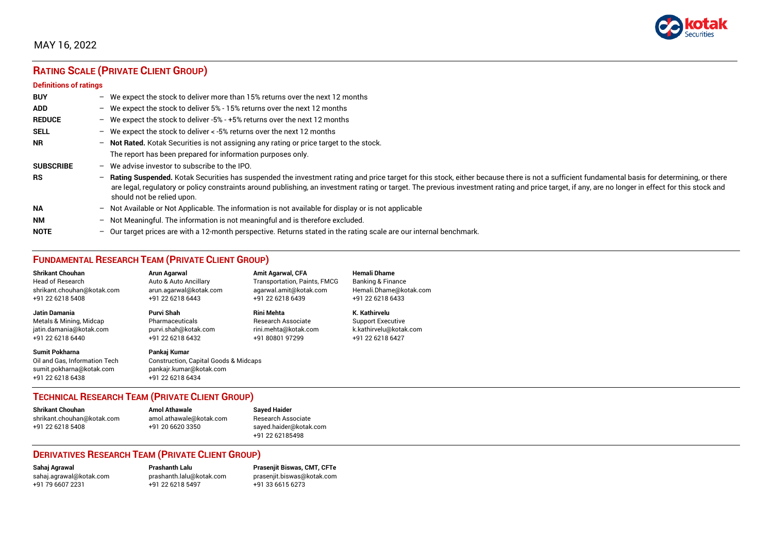

# **RATING SCALE (PRIVATE CLIENT GROUP)**

#### **Definitions of ratings**

| <b>BUY</b>       |                          | - We expect the stock to deliver more than 15% returns over the next 12 months                                                                                                                                                                                                                                                                                                                                                   |
|------------------|--------------------------|----------------------------------------------------------------------------------------------------------------------------------------------------------------------------------------------------------------------------------------------------------------------------------------------------------------------------------------------------------------------------------------------------------------------------------|
| <b>ADD</b>       |                          | - We expect the stock to deliver $5\%$ - 15% returns over the next 12 months                                                                                                                                                                                                                                                                                                                                                     |
| <b>REDUCE</b>    |                          | - We expect the stock to deliver -5% - +5% returns over the next 12 months                                                                                                                                                                                                                                                                                                                                                       |
| <b>SELL</b>      |                          | - We expect the stock to deliver $\lt$ -5% returns over the next 12 months                                                                                                                                                                                                                                                                                                                                                       |
| <b>NR</b>        | $\overline{\phantom{0}}$ | Not Rated. Kotak Securities is not assigning any rating or price target to the stock.                                                                                                                                                                                                                                                                                                                                            |
|                  |                          | The report has been prepared for information purposes only.                                                                                                                                                                                                                                                                                                                                                                      |
| <b>SUBSCRIBE</b> | $-$                      | We advise investor to subscribe to the IPO.                                                                                                                                                                                                                                                                                                                                                                                      |
| <b>RS</b>        | -                        | Rating Suspended. Kotak Securities has suspended the investment rating and price target for this stock, either because there is not a sufficient fundamental basis for determining, or there<br>are legal, regulatory or policy constraints around publishing, an investment rating or target. The previous investment rating and price target, if any, are no longer in effect for this stock and<br>should not be relied upon. |
| <b>NA</b>        |                          | $-$ Not Available or Not Applicable. The information is not available for display or is not applicable                                                                                                                                                                                                                                                                                                                           |
| <b>NM</b>        | $\overline{\phantom{0}}$ | Not Meaningful. The information is not meaningful and is therefore excluded.                                                                                                                                                                                                                                                                                                                                                     |
| <b>NOTE</b>      | $\overline{\phantom{0}}$ | Our target prices are with a 12-month perspective. Returns stated in the rating scale are our internal benchmark.                                                                                                                                                                                                                                                                                                                |

## **FUNDAMENTAL RESEARCH TEAM (PRIVATE CLIENT GROUP)**

| <b>Shrikant Chouhan</b>                                                                                | Arun Agarwal                                                                                                    | <b>Amit Agarwal, CFA</b>            | <b>Hemali Dhame</b>      |
|--------------------------------------------------------------------------------------------------------|-----------------------------------------------------------------------------------------------------------------|-------------------------------------|--------------------------|
| <b>Head of Research</b>                                                                                | Auto & Auto Ancillary                                                                                           | <b>Transportation, Paints, FMCG</b> | Banking & Finance        |
| shrikant.chouhan@kotak.com                                                                             | arun.agarwal@kotak.com                                                                                          | agarwal.amit@kotak.com              | Hemali.Dhame@kotak.com   |
| +91 22 6218 5408                                                                                       | +91 22 6218 6443                                                                                                | +91 22 6218 6439                    | +91 22 6218 6433         |
| <b>Jatin Damania</b>                                                                                   | Purvi Shah                                                                                                      | <b>Rini Mehta</b>                   | K. Kathirvelu            |
| Metals & Mining, Midcap                                                                                | Pharmaceuticals                                                                                                 | <b>Research Associate</b>           | <b>Support Executive</b> |
| jatin.damania@kotak.com                                                                                | purvi.shah@kotak.com                                                                                            | rini.mehta@kotak.com                | k.kathirvelu@kotak.com   |
| +91 22 6218 6440                                                                                       | +91 22 6218 6432                                                                                                | +91 80801 97299                     | +91 22 6218 6427         |
| <b>Sumit Pokharna</b><br>Oil and Gas, Information Tech<br>sumit.pokharna@kotak.com<br>+91 22 6218 6438 | Pankaj Kumar<br><b>Construction, Capital Goods &amp; Midcaps</b><br>pankajr.kumar@kotak.com<br>+91 22 6218 6434 |                                     |                          |

#### **TECHNICAL RESEARCH TEAM (PRIVATE CLIENT GROUP)**

| <b>Shrikant Chouhan</b>    | <b>Amol Athawale</b>    |   |
|----------------------------|-------------------------|---|
| shrikant.chouhan@kotak.com | amol.athawale@kotak.com | F |
| +91 22 6218 5408           | +91 20 6620 3350        | S |
|                            |                         |   |

**Shrikant Chouhan Amol Athawale Sayed Haider** Research Associate [sayed.haider@kotak.com](mailto:sayed.haider@kotak.com) +91 22 62185498

#### **DERIVATIVES RESEARCH TEAM (PRIVATE CLIENT GROUP)**

+91 22 6218 5497 +91 33 6615 6273

**Sahaj Agrawal Prashanth Lalu Prasenjit Biswas, CMT, CFTe** [sahaj.agrawal@kotak.com](mailto:sahaj.agrawal@kotak.com) [prashanth.lalu@kotak.com](mailto:prashanth.lalu@kotak.com) [prasenjit.biswas@kotak.com](mailto:prasenjit.biswas@kotak.com)